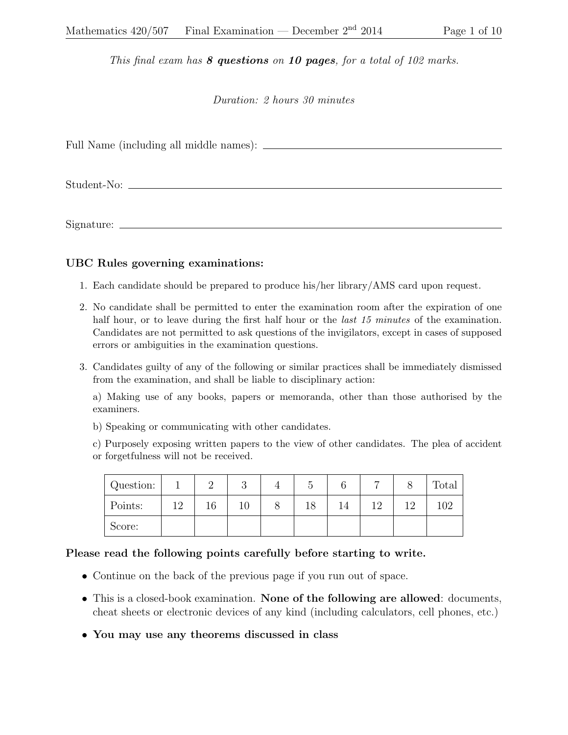## This final exam has  $8$  questions on 10 pages, for a total of 102 marks.

## Duration: 2 hours 30 minutes

Full Name (including all middle names):

Student-No:

Signature:

## UBC Rules governing examinations:

- 1. Each candidate should be prepared to produce his/her library/AMS card upon request.
- 2. No candidate shall be permitted to enter the examination room after the expiration of one half hour, or to leave during the first half hour or the *last 15 minutes* of the examination. Candidates are not permitted to ask questions of the invigilators, except in cases of supposed errors or ambiguities in the examination questions.
- 3. Candidates guilty of any of the following or similar practices shall be immediately dismissed from the examination, and shall be liable to disciplinary action:

a) Making use of any books, papers or memoranda, other than those authorised by the examiners.

b) Speaking or communicating with other candidates.

c) Purposely exposing written papers to the view of other candidates. The plea of accident or forgetfulness will not be received.

| Question: |     |  |  |    | $\overline{ }$ | Total |
|-----------|-----|--|--|----|----------------|-------|
| Points:   | 19. |  |  | 14 | 1 ດ            |       |
| Score:    |     |  |  |    |                |       |

## Please read the following points carefully before starting to write.

- Continue on the back of the previous page if you run out of space.
- This is a closed-book examination. None of the following are allowed: documents, cheat sheets or electronic devices of any kind (including calculators, cell phones, etc.)
- You may use any theorems discussed in class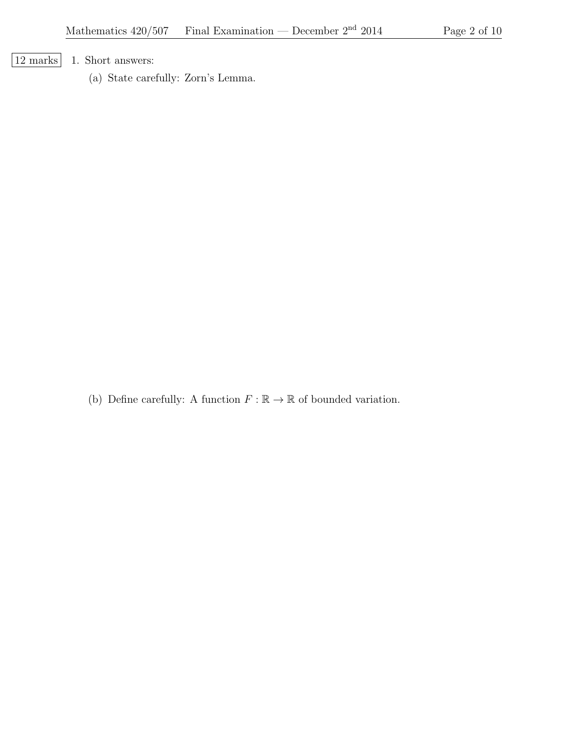[12 marks] 1. Short answers:

(a) State carefully: Zorn's Lemma.

(b) Define carefully: A function  $F : \mathbb{R} \to \mathbb{R}$  of bounded variation.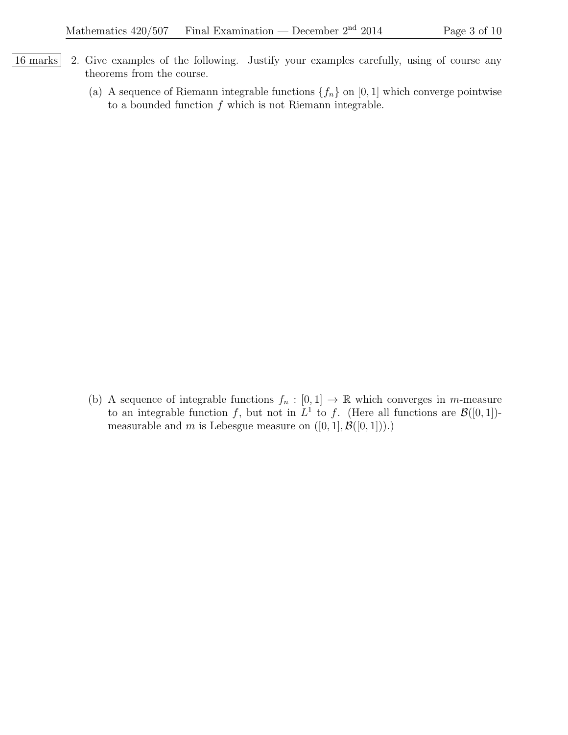- 16 marks 2. Give examples of the following. Justify your examples carefully, using of course any theorems from the course.
	- (a) A sequence of Riemann integrable functions  $\{f_n\}$  on [0, 1] which converge pointwise to a bounded function  $f$  which is not Riemann integrable.

(b) A sequence of integrable functions  $f_n : [0,1] \to \mathbb{R}$  which converges in m-measure to an integrable function f, but not in  $L^1$  to f. (Here all functions are  $\mathcal{B}([0,1])$ measurable and m is Lebesgue measure on  $([0, 1], \mathcal{B}([0, 1]))$ .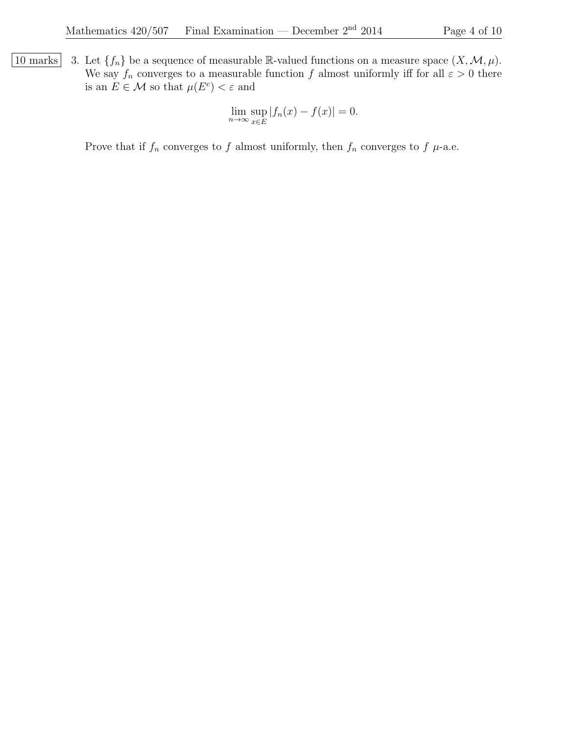10 marks 3. Let  $\{f_n\}$  be a sequence of measurable R-valued functions on a measure space  $(X, \mathcal{M}, \mu)$ . We say  $f_n$  converges to a measurable function f almost uniformly iff for all  $\varepsilon > 0$  there is an  $E \in \mathcal{M}$  so that  $\mu(E^c) < \varepsilon$  and

$$
\lim_{n \to \infty} \sup_{x \in E} |f_n(x) - f(x)| = 0.
$$

Prove that if  $f_n$  converges to f almost uniformly, then  $f_n$  converges to f  $\mu$ -a.e.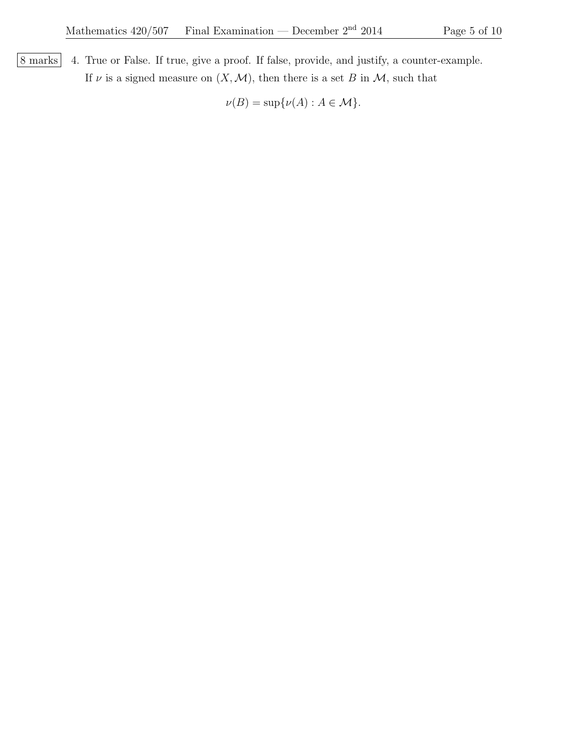8 marks 4. True or False. If true, give a proof. If false, provide, and justify, a counter-example. If  $\nu$  is a signed measure on  $(X, \mathcal{M})$ , then there is a set B in  $\mathcal{M}$ , such that

 $\nu(B) = \sup \{ \nu(A) : A \in \mathcal{M} \}.$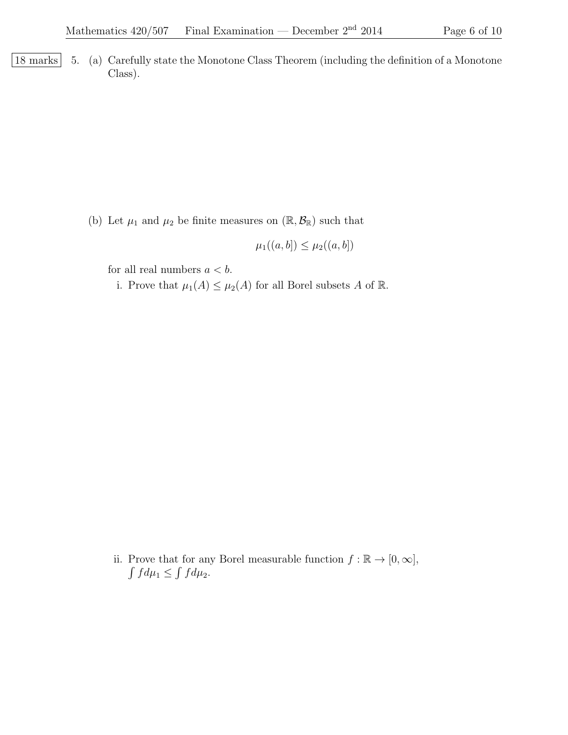| 18 marks | 5. (a) Carefully state the Monotone Class Theorem (including the definition of a Monotone Class).

(b) Let  $\mu_1$  and  $\mu_2$  be finite measures on  $(\mathbb{R}, \mathcal{B}_{\mathbb{R}})$  such that

$$
\mu_1((a,b]) \leq \mu_2((a,b])
$$

for all real numbers  $a < b$ .

i. Prove that  $\mu_1(A) \leq \mu_2(A)$  for all Borel subsets A of  $\mathbb{R}$ .

ii. Prove that for any Borel measurable function  $f : \mathbb{R} \to [0, \infty],$  $\int f d\mu_1 \leq \int f d\mu_2.$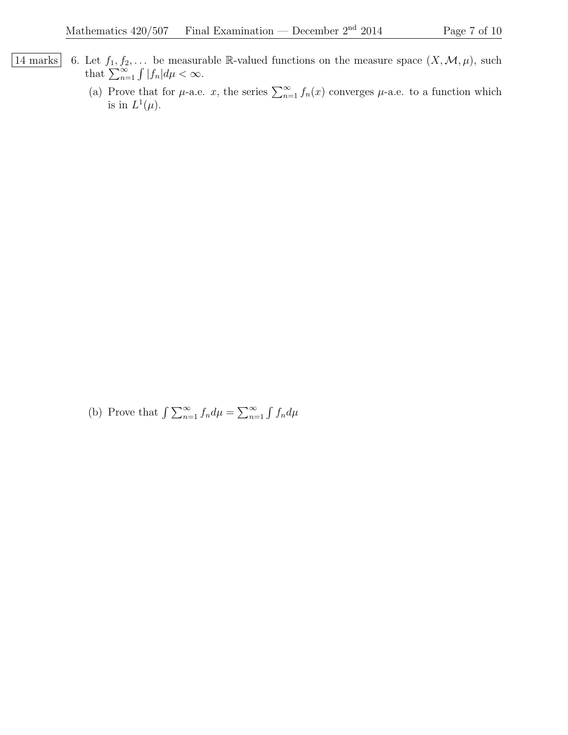- 14 marks 6. Let  $f_1, f_2, \ldots$  be measurable R-valued functions on the measure space  $(X, \mathcal{M}, \mu)$ , such that  $\sum_{n=1}^{\infty} \int |f_n| d\mu < \infty$ .
	- (a) Prove that for  $\mu$ -a.e. x, the series  $\sum_{n=1}^{\infty} f_n(x)$  converges  $\mu$ -a.e. to a function which is in  $L^1(\mu)$ .

(b) Prove that  $\int \sum_{n=1}^{\infty} f_n d\mu = \sum_{n=1}^{\infty} \int f_n d\mu$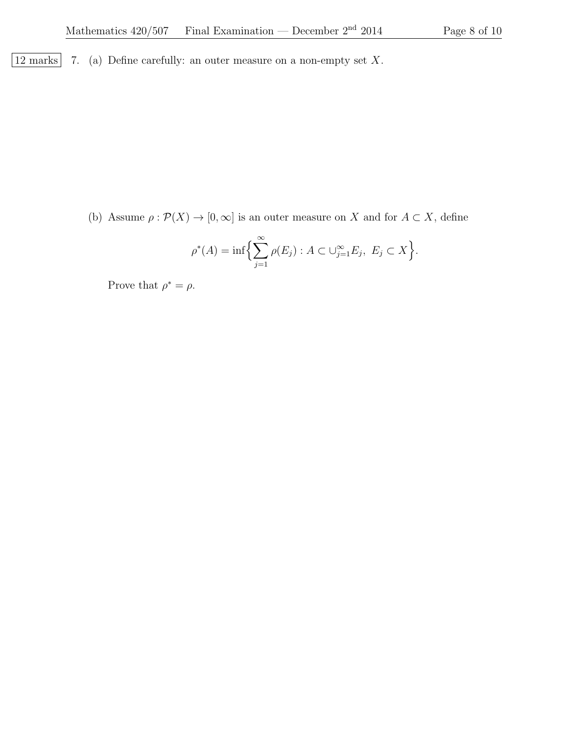$\boxed{12 \text{ marks}}$  7. (a) Define carefully: an outer measure on a non-empty set X.

(b) Assume  $\rho : \mathcal{P}(X) \to [0, \infty]$  is an outer measure on X and for  $A \subset X$ , define

$$
\rho^*(A) = \inf \Biggl\{ \sum_{j=1}^{\infty} \rho(E_j) : A \subset \bigcup_{j=1}^{\infty} E_j, \ E_j \subset X \Biggr\}.
$$

Prove that  $\rho^* = \rho$ .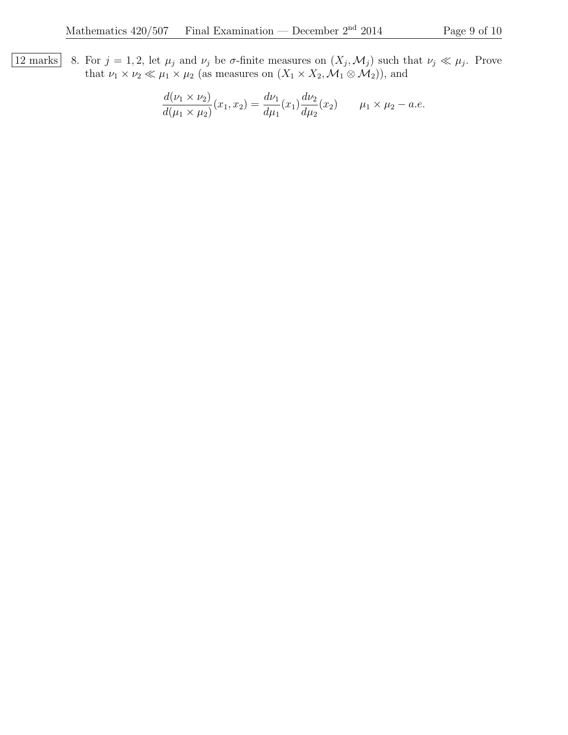12 marks 8. For  $j = 1, 2$ , let  $\mu_j$  and  $\nu_j$  be  $\sigma$ -finite measures on  $(X_j, \mathcal{M}_j)$  such that  $\nu_j \ll \mu_j$ . Prove that  $\nu_1 \times \nu_2 \ll \mu_1 \times \mu_2$  (as measures on  $(X_1 \times X_2, \mathcal{M}_1 \otimes \mathcal{M}_2)$ ), and

$$
\frac{d(\nu_1 \times \nu_2)}{d(\mu_1 \times \mu_2)}(x_1, x_2) = \frac{d\nu_1}{d\mu_1}(x_1) \frac{d\nu_2}{d\mu_2}(x_2) \qquad \mu_1 \times \mu_2 - a.e.
$$